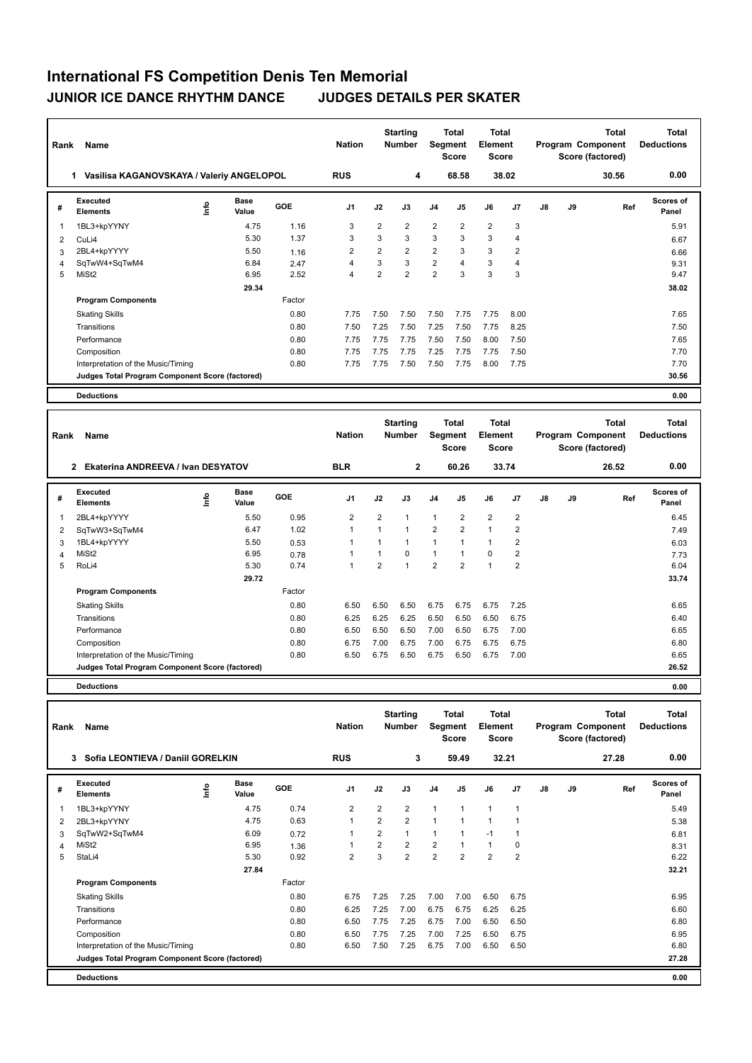## **International FS Competition Denis Ten Memorial JUNIOR ICE DANCE RHYTHM DANCE JUDGES DETAILS PER SKATER**

| Rank | Name                                            |    |                      |        | <b>Nation</b>  |                | <b>Starting</b><br><b>Number</b> | Segment        | <b>Total</b><br><b>Score</b> | <b>Total</b><br>Element<br><b>Score</b> |                |               |    | <b>Total</b><br>Program Component<br>Score (factored) | Total<br><b>Deductions</b> |
|------|-------------------------------------------------|----|----------------------|--------|----------------|----------------|----------------------------------|----------------|------------------------------|-----------------------------------------|----------------|---------------|----|-------------------------------------------------------|----------------------------|
|      | Vasilisa KAGANOVSKAYA / Valeriy ANGELOPOL<br>1  |    |                      |        | <b>RUS</b>     |                | 4                                |                | 68.58                        |                                         | 38.02          |               |    | 30.56                                                 | 0.00                       |
| #    | Executed<br><b>Elements</b>                     | ۴ů | <b>Base</b><br>Value | GOE    | J <sub>1</sub> | J2             | J3                               | J <sub>4</sub> | J5                           | J6                                      | J7             | $\mathsf{J}8$ | J9 | Ref                                                   | <b>Scores of</b><br>Panel  |
| 1    | 1BL3+kpYYNY                                     |    | 4.75                 | 1.16   | 3              | $\overline{2}$ | $\overline{2}$                   | $\overline{2}$ | $\overline{2}$               | $\overline{2}$                          | 3              |               |    |                                                       | 5.91                       |
| 2    | CuLi4                                           |    | 5.30                 | 1.37   | 3              | 3              | 3                                | 3              | 3                            | 3                                       | $\overline{4}$ |               |    |                                                       | 6.67                       |
| 3    | 2BL4+kpYYYY                                     |    | 5.50                 | 1.16   | $\overline{2}$ | $\overline{2}$ | $\overline{2}$                   | $\overline{2}$ | 3                            | 3                                       | $\overline{2}$ |               |    |                                                       | 6.66                       |
| 4    | SqTwW4+SqTwM4                                   |    | 6.84                 | 2.47   | 4              | 3              | 3                                | $\overline{2}$ | $\overline{4}$               | 3                                       | $\overline{4}$ |               |    |                                                       | 9.31                       |
| 5    | MiSt <sub>2</sub>                               |    | 6.95                 | 2.52   | $\overline{4}$ | $\overline{2}$ | $\overline{2}$                   | $\overline{2}$ | 3                            | 3                                       | 3              |               |    |                                                       | 9.47                       |
|      |                                                 |    | 29.34                |        |                |                |                                  |                |                              |                                         |                |               |    |                                                       | 38.02                      |
|      | <b>Program Components</b>                       |    |                      | Factor |                |                |                                  |                |                              |                                         |                |               |    |                                                       |                            |
|      | <b>Skating Skills</b>                           |    |                      | 0.80   | 7.75           | 7.50           | 7.50                             | 7.50           | 7.75                         | 7.75                                    | 8.00           |               |    |                                                       | 7.65                       |
|      | Transitions                                     |    |                      | 0.80   | 7.50           | 7.25           | 7.50                             | 7.25           | 7.50                         | 7.75                                    | 8.25           |               |    |                                                       | 7.50                       |
|      | Performance                                     |    |                      | 0.80   | 7.75           | 7.75           | 7.75                             | 7.50           | 7.50                         | 8.00                                    | 7.50           |               |    |                                                       | 7.65                       |
|      | Composition                                     |    |                      | 0.80   | 7.75           | 7.75           | 7.75                             | 7.25           | 7.75                         | 7.75                                    | 7.50           |               |    |                                                       | 7.70                       |
|      | Interpretation of the Music/Timing              |    |                      | 0.80   | 7.75           | 7.75           | 7.50                             | 7.50           | 7.75                         | 8.00                                    | 7.75           |               |    |                                                       | 7.70                       |
|      | Judges Total Program Component Score (factored) |    |                      |        |                |                |                                  |                |                              |                                         |                |               |    |                                                       | 30.56                      |
|      | <b>Deductions</b>                               |    |                      |        |                |                |                                  |                |                              |                                         |                |               |    |                                                       | 0.00                       |

| Rank | Name                                               |      |                      |        | <b>Nation</b>  |                | <b>Starting</b><br>Number | Segment        | <b>Total</b><br><b>Score</b> | Total<br>Element<br><b>Score</b> |                |    | Program Component<br>Score (factored) | <b>Total</b><br><b>Deductions</b> |                           |
|------|----------------------------------------------------|------|----------------------|--------|----------------|----------------|---------------------------|----------------|------------------------------|----------------------------------|----------------|----|---------------------------------------|-----------------------------------|---------------------------|
|      | Ekaterina ANDREEVA / Ivan DESYATOV<br>$\mathbf{2}$ |      |                      |        | <b>BLR</b>     |                | $\overline{2}$            |                | 60.26                        |                                  | 33.74          |    |                                       | 26.52                             | 0.00                      |
| #    | <b>Executed</b><br><b>Elements</b>                 | ١nf٥ | <b>Base</b><br>Value | GOE    | J <sub>1</sub> | J2             | J3                        | J4             | J5                           | J6                               | J <sub>7</sub> | J8 | J9                                    | Ref                               | <b>Scores of</b><br>Panel |
| 1    | 2BL4+kpYYYY                                        |      | 5.50                 | 0.95   | $\overline{2}$ | $\overline{2}$ | 1                         | $\mathbf{1}$   | $\overline{2}$               | $\overline{2}$                   | $\overline{2}$ |    |                                       |                                   | 6.45                      |
| 2    | SqTwW3+SqTwM4                                      |      | 6.47                 | 1.02   |                | 1              | 1                         | $\overline{2}$ | $\overline{2}$               | $\mathbf{1}$                     | $\overline{2}$ |    |                                       |                                   | 7.49                      |
| 3    | 1BL4+kpYYYY                                        |      | 5.50                 | 0.53   |                |                | 1                         | 1              |                              | 1                                | 2              |    |                                       |                                   | 6.03                      |
| 4    | MiSt <sub>2</sub>                                  |      | 6.95                 | 0.78   |                | 1              | 0                         | $\mathbf{1}$   |                              | 0                                | 2              |    |                                       |                                   | 7.73                      |
| 5    | RoLi4                                              |      | 5.30                 | 0.74   |                | 2              | 1                         | $\overline{2}$ | $\overline{2}$               | $\overline{1}$                   | $\overline{2}$ |    |                                       |                                   | 6.04                      |
|      |                                                    |      | 29.72                |        |                |                |                           |                |                              |                                  |                |    |                                       |                                   | 33.74                     |
|      | <b>Program Components</b>                          |      |                      | Factor |                |                |                           |                |                              |                                  |                |    |                                       |                                   |                           |
|      | <b>Skating Skills</b>                              |      |                      | 0.80   | 6.50           | 6.50           | 6.50                      | 6.75           | 6.75                         | 6.75                             | 7.25           |    |                                       |                                   | 6.65                      |
|      | Transitions                                        |      |                      | 0.80   | 6.25           | 6.25           | 6.25                      | 6.50           | 6.50                         | 6.50                             | 6.75           |    |                                       |                                   | 6.40                      |
|      | Performance                                        |      |                      | 0.80   | 6.50           | 6.50           | 6.50                      | 7.00           | 6.50                         | 6.75                             | 7.00           |    |                                       |                                   | 6.65                      |
|      | Composition                                        |      |                      | 0.80   | 6.75           | 7.00           | 6.75                      | 7.00           | 6.75                         | 6.75                             | 6.75           |    |                                       |                                   | 6.80                      |
|      | Interpretation of the Music/Timing                 |      |                      | 0.80   | 6.50           | 6.75           | 6.50                      | 6.75           | 6.50                         | 6.75                             | 7.00           |    |                                       |                                   | 6.65                      |
|      | Judges Total Program Component Score (factored)    |      |                      |        |                |                |                           |                |                              |                                  |                |    |                                       |                                   | 26.52                     |
|      | <b>Deductions</b>                                  |      |                      |        |                |                |                           |                |                              |                                  |                |    |                                       |                                   | 0.00                      |

| Rank | Name                                            |    |                      |        | <b>Nation</b>  |                | <b>Starting</b><br><b>Number</b> | Segment        | Total<br><b>Score</b> | <b>Total</b><br>Element<br><b>Score</b> |                |    | Program Component<br>Score (factored) | <b>Total</b><br><b>Deductions</b> |                    |
|------|-------------------------------------------------|----|----------------------|--------|----------------|----------------|----------------------------------|----------------|-----------------------|-----------------------------------------|----------------|----|---------------------------------------|-----------------------------------|--------------------|
|      | 3 Sofia LEONTIEVA / Daniil GORELKIN             |    |                      |        | <b>RUS</b>     |                | 3                                |                | 59.49                 |                                         | 32.21          |    |                                       | 27.28                             | 0.00               |
| #    | Executed<br><b>Elements</b>                     | ١m | <b>Base</b><br>Value | GOE    | J <sub>1</sub> | J2             | J3                               | J <sub>4</sub> | J <sub>5</sub>        | J6                                      | J <sub>7</sub> | J8 | J9                                    | Ref                               | Scores of<br>Panel |
| 1    | 1BL3+kpYYNY                                     |    | 4.75                 | 0.74   | $\overline{2}$ | $\overline{2}$ | $\overline{2}$                   | $\mathbf{1}$   | $\mathbf{1}$          | $\mathbf{1}$                            | $\mathbf{1}$   |    |                                       |                                   | 5.49               |
| 2    | 2BL3+kpYYNY                                     |    | 4.75                 | 0.63   | $\mathbf{1}$   | 2              | $\overline{2}$                   | $\mathbf{1}$   | $\overline{1}$        | $\mathbf{1}$                            | 1              |    |                                       |                                   | 5.38               |
| 3    | SqTwW2+SqTwM4                                   |    | 6.09                 | 0.72   | $\mathbf{1}$   | 2              |                                  | $\mathbf{1}$   |                       | $-1$                                    | $\mathbf 1$    |    |                                       |                                   | 6.81               |
| 4    | MiSt <sub>2</sub>                               |    | 6.95                 | 1.36   | $\mathbf{1}$   | $\overline{2}$ | $\overline{2}$                   | $\overline{2}$ | 1                     | $\mathbf{1}$                            | 0              |    |                                       |                                   | 8.31               |
| 5    | StaLi4                                          |    | 5.30                 | 0.92   | $\overline{2}$ | 3              | $\overline{2}$                   | $\overline{2}$ | 2                     | $\overline{2}$                          | $\overline{2}$ |    |                                       |                                   | 6.22               |
|      |                                                 |    | 27.84                |        |                |                |                                  |                |                       |                                         |                |    |                                       |                                   | 32.21              |
|      | <b>Program Components</b>                       |    |                      | Factor |                |                |                                  |                |                       |                                         |                |    |                                       |                                   |                    |
|      | <b>Skating Skills</b>                           |    |                      | 0.80   | 6.75           | 7.25           | 7.25                             | 7.00           | 7.00                  | 6.50                                    | 6.75           |    |                                       |                                   | 6.95               |
|      | Transitions                                     |    |                      | 0.80   | 6.25           | 7.25           | 7.00                             | 6.75           | 6.75                  | 6.25                                    | 6.25           |    |                                       |                                   | 6.60               |
|      | Performance                                     |    |                      | 0.80   | 6.50           | 7.75           | 7.25                             | 6.75           | 7.00                  | 6.50                                    | 6.50           |    |                                       |                                   | 6.80               |
|      | Composition                                     |    |                      | 0.80   | 6.50           | 7.75           | 7.25                             | 7.00           | 7.25                  | 6.50                                    | 6.75           |    |                                       |                                   | 6.95               |
|      | Interpretation of the Music/Timing              |    |                      | 0.80   | 6.50           | 7.50           | 7.25                             | 6.75           | 7.00                  | 6.50                                    | 6.50           |    |                                       |                                   | 6.80               |
|      | Judges Total Program Component Score (factored) |    |                      |        |                |                |                                  |                |                       |                                         |                |    |                                       |                                   | 27.28              |
|      | <b>Deductions</b>                               |    |                      |        |                |                |                                  |                |                       |                                         |                |    |                                       |                                   | 0.00               |